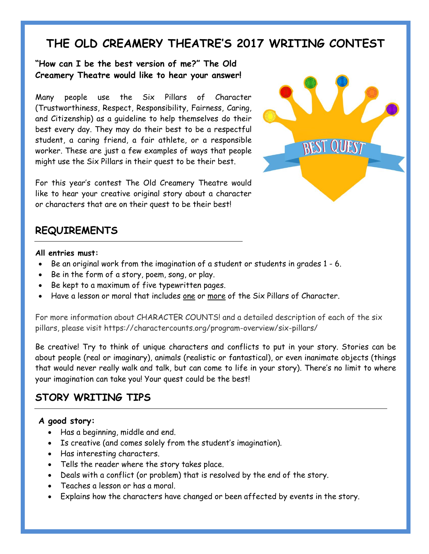# **THE OLD CREAMERY THEATRE'S 2017 WRITING CONTEST**

#### **"How can I be the best version of me?" The Old Creamery Theatre would like to hear your answer!**

Many people use the Six Pillars of Character (Trustworthiness, Respect, Responsibility, Fairness, Caring, and Citizenship) as a guideline to help themselves do their best every day. They may do their best to be a respectful student, a caring friend, a fair athlete, or a responsible worker. These are just a few examples of ways that people might use the Six Pillars in their quest to be their best.

For this year's contest The Old Creamery Theatre would like to hear your creative original story about a character or characters that are on their quest to be their best!



# **REQUIREMENTS**

#### **All entries must:**

- Be an original work from the imagination of a student or students in grades 1 6.
- Be in the form of a story, poem, song, or play.
- Be kept to a maximum of five typewritten pages.
- Have a lesson or moral that includes one or more of the Six Pillars of Character.

For more information about CHARACTER COUNTS! and a detailed description of each of the six pillars, please visit https://charactercounts.org/program-overview/six-pillars/

Be creative! Try to think of unique characters and conflicts to put in your story. Stories can be about people (real or imaginary), animals (realistic or fantastical), or even inanimate objects (things that would never really walk and talk, but can come to life in your story). There's no limit to where your imagination can take you! Your quest could be the best!

# **STORY WRITING TIPS**

#### **A good story:**

- Has a beginning, middle and end.
- Is creative (and comes solely from the student's imagination).
- Has interesting characters.
- Tells the reader where the story takes place.
- Deals with a conflict (or problem) that is resolved by the end of the story.
- Teaches a lesson or has a moral.
- Explains how the characters have changed or been affected by events in the story.